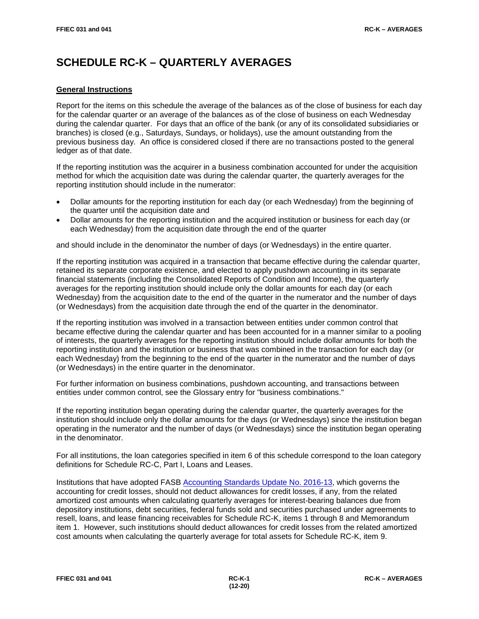# **SCHEDULE RC-K – QUARTERLY AVERAGES**

## **General Instructions**

Report for the items on this schedule the average of the balances as of the close of business for each day for the calendar quarter or an average of the balances as of the close of business on each Wednesday during the calendar quarter. For days that an office of the bank (or any of its consolidated subsidiaries or branches) is closed (e.g., Saturdays, Sundays, or holidays), use the amount outstanding from the previous business day. An office is considered closed if there are no transactions posted to the general ledger as of that date.

If the reporting institution was the acquirer in a business combination accounted for under the acquisition method for which the acquisition date was during the calendar quarter, the quarterly averages for the reporting institution should include in the numerator:

- Dollar amounts for the reporting institution for each day (or each Wednesday) from the beginning of the quarter until the acquisition date and
- Dollar amounts for the reporting institution and the acquired institution or business for each day (or each Wednesday) from the acquisition date through the end of the quarter

and should include in the denominator the number of days (or Wednesdays) in the entire quarter.

If the reporting institution was acquired in a transaction that became effective during the calendar quarter, retained its separate corporate existence, and elected to apply pushdown accounting in its separate financial statements (including the Consolidated Reports of Condition and Income), the quarterly averages for the reporting institution should include only the dollar amounts for each day (or each Wednesday) from the acquisition date to the end of the quarter in the numerator and the number of days (or Wednesdays) from the acquisition date through the end of the quarter in the denominator.

If the reporting institution was involved in a transaction between entities under common control that became effective during the calendar quarter and has been accounted for in a manner similar to a pooling of interests, the quarterly averages for the reporting institution should include dollar amounts for both the reporting institution and the institution or business that was combined in the transaction for each day (or each Wednesday) from the beginning to the end of the quarter in the numerator and the number of days (or Wednesdays) in the entire quarter in the denominator.

For further information on business combinations, pushdown accounting, and transactions between entities under common control, see the Glossary entry for "business combinations."

If the reporting institution began operating during the calendar quarter, the quarterly averages for the institution should include only the dollar amounts for the days (or Wednesdays) since the institution began operating in the numerator and the number of days (or Wednesdays) since the institution began operating in the denominator.

For all institutions, the loan categories specified in item 6 of this schedule correspond to the loan category definitions for Schedule RC-C, Part I, Loans and Leases.

Institutions that have adopted FASB [Accounting Standards Update No. 2016-13,](https://www.fasb.org/jsp/FASB/Document_C/DocumentPage?cid=1176168232528&acceptedDisclaimer=true) which governs the accounting for credit losses, should not deduct allowances for credit losses, if any, from the related amortized cost amounts when calculating quarterly averages for interest-bearing balances due from depository institutions, debt securities, federal funds sold and securities purchased under agreements to resell, loans, and lease financing receivables for Schedule RC-K, items 1 through 8 and Memorandum item 1. However, such institutions should deduct allowances for credit losses from the related amortized cost amounts when calculating the quarterly average for total assets for Schedule RC-K, item 9.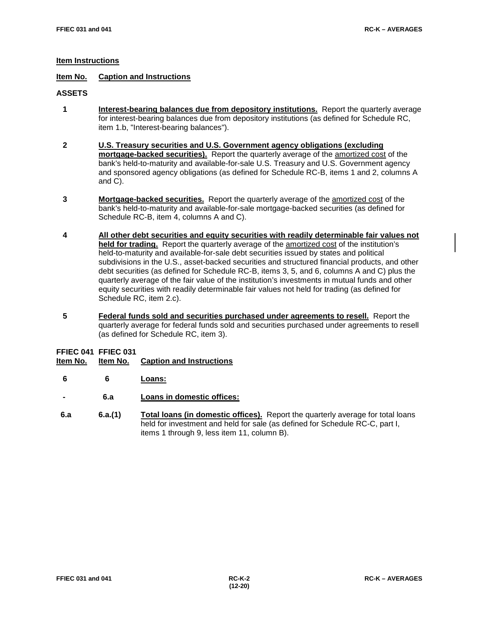#### **Item Instructions**

## **Item No. Caption and Instructions**

#### **ASSETS**

- **1 Interest-bearing balances due from depository institutions.** Report the quarterly average for interest-bearing balances due from depository institutions (as defined for Schedule RC, item 1.b, "Interest-bearing balances").
- **2 U.S. Treasury securities and U.S. Government agency obligations (excluding mortgage-backed securities).** Report the quarterly average of the amortized cost of the bank's held-to-maturity and available-for-sale U.S. Treasury and U.S. Government agency and sponsored agency obligations (as defined for Schedule RC-B, items 1 and 2, columns A and C).
- **3 Mortgage-backed securities.** Report the quarterly average of the amortized cost of the bank's held-to-maturity and available-for-sale mortgage-backed securities (as defined for Schedule RC-B, item 4, columns A and C).
- **4 All other debt securities and equity securities with readily determinable fair values not held for trading.** Report the quarterly average of the amortized cost of the institution's held-to-maturity and available-for-sale debt securities issued by states and political subdivisions in the U.S., asset-backed securities and structured financial products, and other debt securities (as defined for Schedule RC-B, items 3, 5, and 6, columns A and C) plus the quarterly average of the fair value of the institution's investments in mutual funds and other equity securities with readily determinable fair values not held for trading (as defined for Schedule RC, item 2.c).
- **5 Federal funds sold and securities purchased under agreements to resell.** Report the quarterly average for federal funds sold and securities purchased under agreements to resell (as defined for Schedule RC, item 3).

# **FFIEC 041 FFIEC 031**

- **Caption and Instructions**
- **6 6 Loans:**
- **- 6.a Loans in domestic offices:**
- **6.a 6.a.(1) Total loans (in domestic offices).** Report the quarterly average for total loans held for investment and held for sale (as defined for Schedule RC-C, part I, items 1 through 9, less item 11, column B).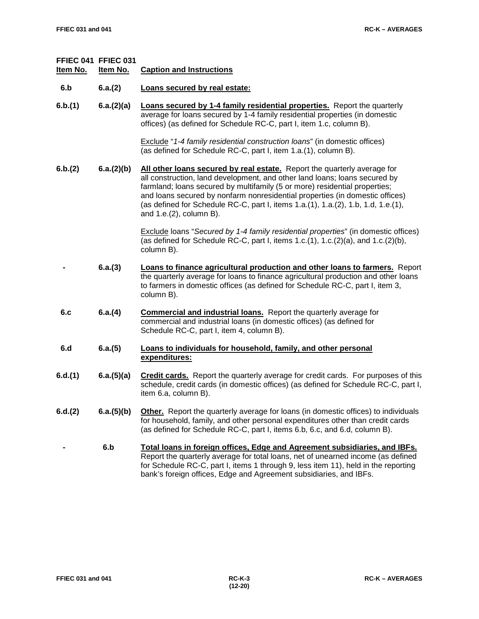| Item No. | FFIEC 041 FFIEC 031<br>Item No. | <b>Caption and Instructions</b>                                                                                                                                                                                                                                                                                                                                                                                                      |
|----------|---------------------------------|--------------------------------------------------------------------------------------------------------------------------------------------------------------------------------------------------------------------------------------------------------------------------------------------------------------------------------------------------------------------------------------------------------------------------------------|
| 6.b      | 6.a.(2)                         | Loans secured by real estate:                                                                                                                                                                                                                                                                                                                                                                                                        |
| 6.b.(1)  | 6.a.(2)(a)                      | <b>Loans secured by 1-4 family residential properties.</b> Report the quarterly<br>average for loans secured by 1-4 family residential properties (in domestic<br>offices) (as defined for Schedule RC-C, part I, item 1.c, column B).                                                                                                                                                                                               |
|          |                                 | Exclude "1-4 family residential construction loans" (in domestic offices)<br>(as defined for Schedule RC-C, part I, item 1.a.(1), column B).                                                                                                                                                                                                                                                                                         |
| 6.b.(2)  | 6.a.(2)(b)                      | All other loans secured by real estate. Report the quarterly average for<br>all construction, land development, and other land loans; loans secured by<br>farmland; loans secured by multifamily (5 or more) residential properties;<br>and loans secured by nonfarm nonresidential properties (in domestic offices)<br>(as defined for Schedule RC-C, part I, items 1.a.(1), 1.a.(2), 1.b, 1.d, 1.e.(1),<br>and 1.e.(2), column B). |
|          |                                 | Exclude loans "Secured by 1-4 family residential properties" (in domestic offices)<br>(as defined for Schedule RC-C, part I, items $1.c.(1)$ , $1.c.(2)(a)$ , and $1.c.(2)(b)$ ,<br>column B).                                                                                                                                                                                                                                       |
|          | 6.a.(3)                         | Loans to finance agricultural production and other loans to farmers. Report<br>the quarterly average for loans to finance agricultural production and other loans<br>to farmers in domestic offices (as defined for Schedule RC-C, part I, item 3,<br>column B).                                                                                                                                                                     |
| 6.c      | 6.a.(4)                         | <b>Commercial and industrial loans.</b> Report the quarterly average for<br>commercial and industrial loans (in domestic offices) (as defined for<br>Schedule RC-C, part I, item 4, column B).                                                                                                                                                                                                                                       |
| 6.d      | 6.a.(5)                         | Loans to individuals for household, family, and other personal<br>expenditures:                                                                                                                                                                                                                                                                                                                                                      |
| 6.d.(1)  | 6.a.(5)(a)                      | <b>Credit cards.</b> Report the quarterly average for credit cards. For purposes of this<br>schedule, credit cards (in domestic offices) (as defined for Schedule RC-C, part I,<br>item 6.a, column B).                                                                                                                                                                                                                              |
| 6.d.(2)  | 6.a.(5)(b)                      | <b>Other.</b> Report the quarterly average for loans (in domestic offices) to individuals<br>for household, family, and other personal expenditures other than credit cards<br>(as defined for Schedule RC-C, part I, items 6.b, 6.c, and 6.d, column B).                                                                                                                                                                            |
|          | 6.b                             | Total loans in foreign offices, Edge and Agreement subsidiaries, and IBFs.<br>Report the quarterly average for total loans, net of unearned income (as defined<br>for Schedule RC-C, part I, items 1 through 9, less item 11), held in the reporting<br>bank's foreign offices, Edge and Agreement subsidiaries, and IBFs.                                                                                                           |
|          |                                 |                                                                                                                                                                                                                                                                                                                                                                                                                                      |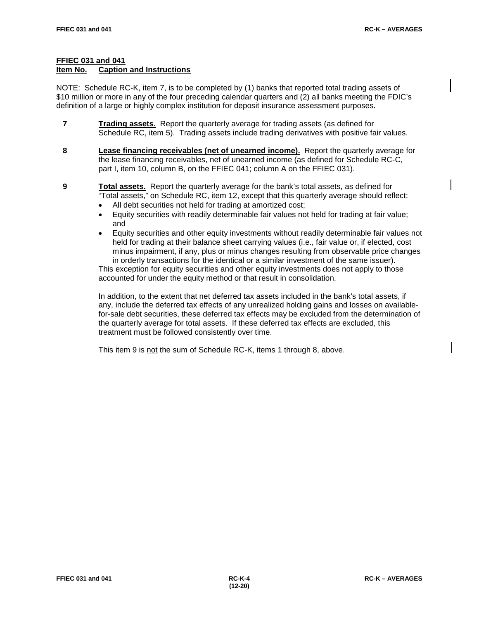### **FFIEC 031 and 041**

#### **Item No. Caption and Instructions**

NOTE: Schedule RC-K, item 7, is to be completed by (1) banks that reported total trading assets of \$10 million or more in any of the four preceding calendar quarters and (2) all banks meeting the FDIC's definition of a large or highly complex institution for deposit insurance assessment purposes.

- **7 Trading assets.** Report the quarterly average for trading assets (as defined for Schedule RC, item 5). Trading assets include trading derivatives with positive fair values.
- **8 Lease financing receivables (net of unearned income).** Report the quarterly average for the lease financing receivables, net of unearned income (as defined for Schedule RC-C, part I, item 10, column B, on the FFIEC 041; column A on the FFIEC 031).
- **9 Total assets.** Report the quarterly average for the bank's total assets, as defined for "Total assets," on Schedule RC, item 12, except that this quarterly average should reflect:
	- All debt securities not held for trading at amortized cost;
	- Equity securities with readily determinable fair values not held for trading at fair value; and
	- Equity securities and other equity investments without readily determinable fair values not held for trading at their balance sheet carrying values (i.e., fair value or, if elected, cost minus impairment, if any, plus or minus changes resulting from observable price changes in orderly transactions for the identical or a similar investment of the same issuer).

This exception for equity securities and other equity investments does not apply to those accounted for under the equity method or that result in consolidation.

In addition, to the extent that net deferred tax assets included in the bank's total assets, if any, include the deferred tax effects of any unrealized holding gains and losses on availablefor-sale debt securities, these deferred tax effects may be excluded from the determination of the quarterly average for total assets. If these deferred tax effects are excluded, this treatment must be followed consistently over time.

This item 9 is not the sum of Schedule RC-K, items 1 through 8, above.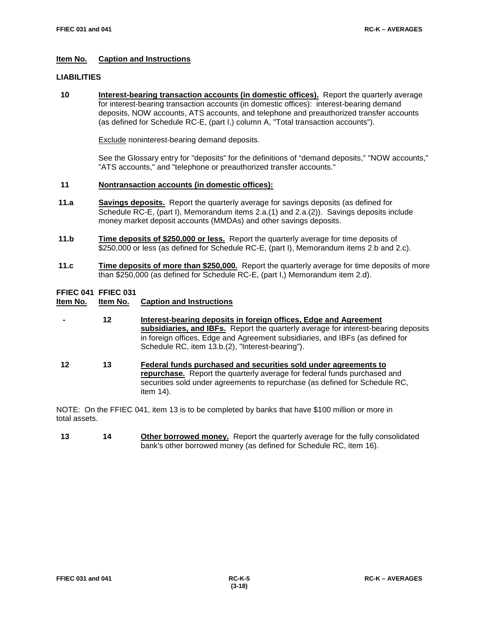#### **Item No. Caption and Instructions**

#### **LIABILITIES**

 **10 Interest-bearing transaction accounts (in domestic offices).** Report the quarterly average for interest-bearing transaction accounts (in domestic offices): interest-bearing demand deposits, NOW accounts, ATS accounts, and telephone and preauthorized transfer accounts (as defined for Schedule RC-E, (part I,) column A, "Total transaction accounts").

Exclude noninterest-bearing demand deposits.

See the Glossary entry for "deposits" for the definitions of "demand deposits," "NOW accounts," "ATS accounts," and "telephone or preauthorized transfer accounts."

#### **11 Nontransaction accounts (in domestic offices):**

- **11.a Savings deposits.** Report the quarterly average for savings deposits (as defined for Schedule RC-E, (part I), Memorandum items 2.a.(1) and 2.a.(2)). Savings deposits include money market deposit accounts (MMDAs) and other savings deposits.
- **11.b Time deposits of \$250,000 or less.** Report the quarterly average for time deposits of \$250,000 or less (as defined for Schedule RC-E, (part I), Memorandum items 2.b and 2.c).
- **11.c Time deposits of more than \$250,000.** Report the quarterly average for time deposits of more than \$250,000 (as defined for Schedule RC-E, (part I,) Memorandum item 2.d).

# **FFIEC 041 FFIEC 031**

#### **Caption and Instructions**

- **- 12 Interest-bearing deposits in foreign offices, Edge and Agreement subsidiaries, and IBFs.** Report the quarterly average for interest-bearing deposits in foreign offices, Edge and Agreement subsidiaries, and IBFs (as defined for Schedule RC, item 13.b.(2), "Interest-bearing").
- **12 13 Federal funds purchased and securities sold under agreements to repurchase.** Report the quarterly average for federal funds purchased and securities sold under agreements to repurchase (as defined for Schedule RC, item 14).

NOTE: On the FFIEC 041, item 13 is to be completed by banks that have \$100 million or more in total assets.

 **13 14 Other borrowed money.** Report the quarterly average for the fully consolidated bank's other borrowed money (as defined for Schedule RC, item 16).